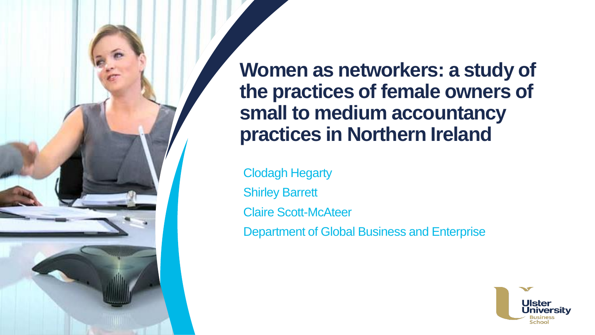**Women as networkers: a study of the practices of female owners of small to medium accountancy practices in Northern Ireland**

Clodagh Hegarty Shirley Barrett Claire Scott-McAteer Department of Global Business and Enterprise

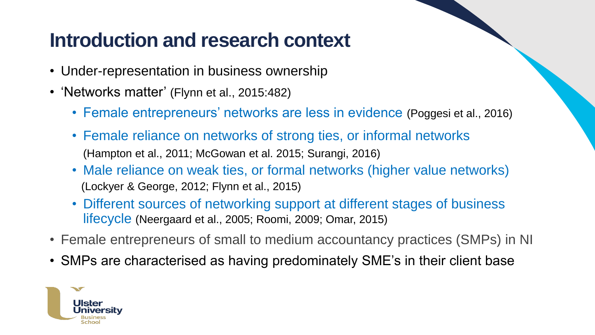## **Introduction and research context**

- Under-representation in business ownership
- 'Networks matter' (Flynn et al., 2015:482)
	- Female entrepreneurs' networks are less in evidence (Poggesi et al., 2016)
	- Female reliance on networks of strong ties, or informal networks (Hampton et al., 2011; McGowan et al. 2015; Surangi, 2016)
	- Male reliance on weak ties, or formal networks (higher value networks) (Lockyer & George, 2012; Flynn et al., 2015)
	- Different sources of networking support at different stages of business lifecycle (Neergaard et al., 2005; Roomi, 2009; Omar, 2015)
- Female entrepreneurs of small to medium accountancy practices (SMPs) in NI
- SMPs are characterised as having predominately SME's in their client base

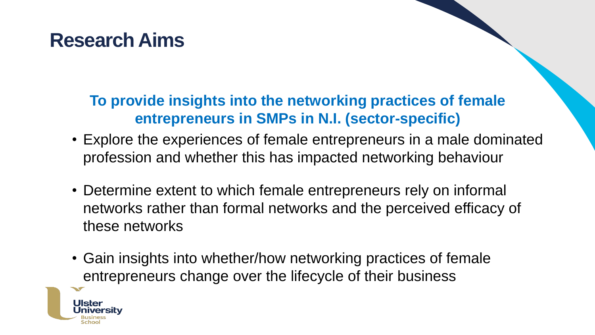## **Research Aims**

#### **To provide insights into the networking practices of female entrepreneurs in SMPs in N.I. (sector-specific)**

- Explore the experiences of female entrepreneurs in a male dominated profession and whether this has impacted networking behaviour
- Determine extent to which female entrepreneurs rely on informal networks rather than formal networks and the perceived efficacy of these networks
- Gain insights into whether/how networking practices of female entrepreneurs change over the lifecycle of their business

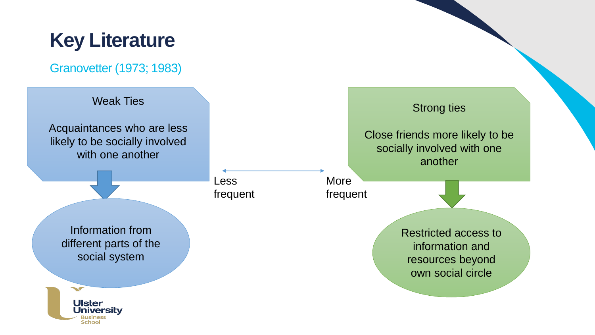## **Key Literature**

Granovetter (1973; 1983)

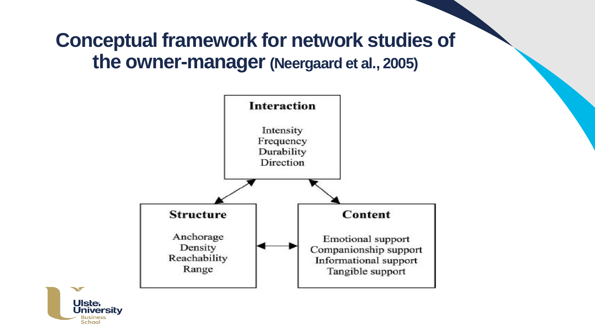## **Conceptual framework for network studies of the owner-manager (Neergaard et al., 2005)**



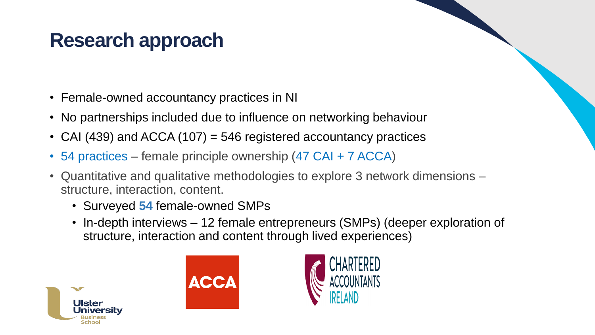## **Research approach**

- Female-owned accountancy practices in NI
- No partnerships included due to influence on networking behaviour
- CAI (439) and ACCA (107) = 546 registered accountancy practices
- 54 practices female principle ownership (47 CAI + 7 ACCA)
- Quantitative and qualitative methodologies to explore 3 network dimensions structure, interaction, content.
	- Surveyed **54** female-owned SMPs
	- In-depth interviews 12 female entrepreneurs (SMPs) (deeper exploration of structure, interaction and content through lived experiences)





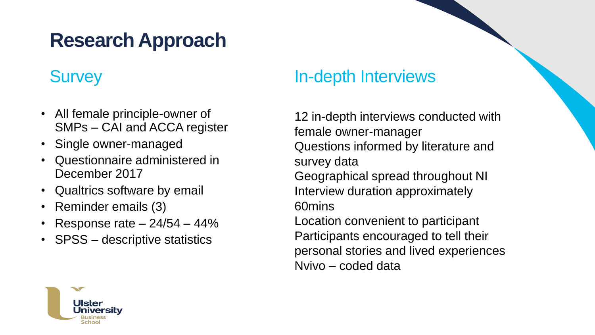# **Research Approach**

#### **Survey**

- All female principle-owner of SMPs – CAI and ACCA register
- Single owner-managed
- Questionnaire administered in December 2017
- Qualtrics software by email
- Reminder emails (3)
- Response rate  $-24/54 44%$
- SPSS descriptive statistics

#### In-depth Interviews

12 in-depth interviews conducted with female owner-manager Questions informed by literature and survey data Geographical spread throughout NI Interview duration approximately 60mins Location convenient to participant

Participants encouraged to tell their personal stories and lived experiences Nvivo – coded data

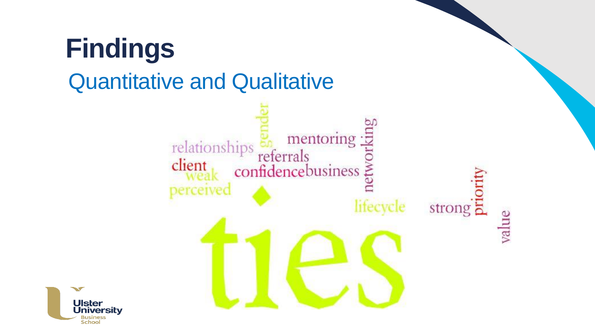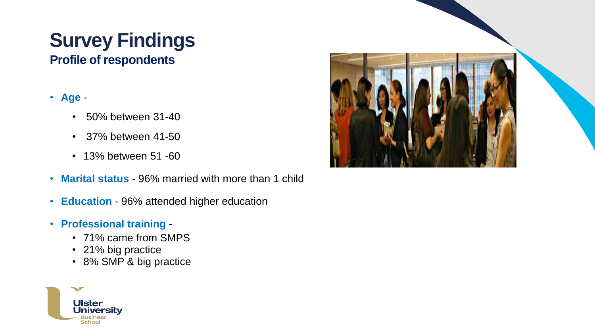# **Survey Findings**

**Profile of respondents**

#### • **Age** -

- 50% between 31-40
- 37% between 41-50
- 13% between 51 -60
- **Marital status**  96% married with more than 1 child
- **Education** 96% attended higher education
- **Professional training** 
	- 71% came from SMPS
	- 21% big practice
	- 8% SMP & big practice



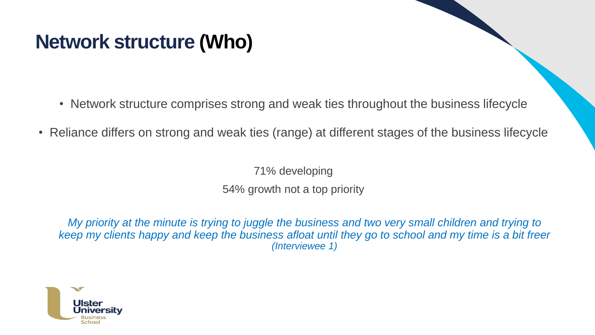## **Network structure (Who)**

- Network structure comprises strong and weak ties throughout the business lifecycle
- Reliance differs on strong and weak ties (range) at different stages of the business lifecycle

71% developing 54% growth not a top priority

*My priority at the minute is trying to juggle the business and two very small children and trying to keep my clients happy and keep the business afloat until they go to school and my time is a bit freer (Interviewee 1)*

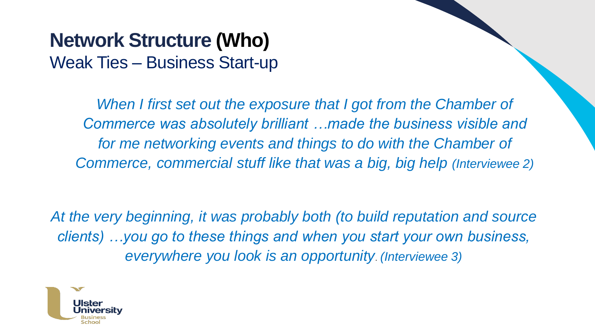### **Network Structure (Who)** Weak Ties – Business Start-up

*When I first set out the exposure that I got from the Chamber of Commerce was absolutely brilliant …made the business visible and*  for me networking events and things to do with the Chamber of *Commerce, commercial stuff like that was a big, big help (Interviewee 2)* 

*At the very beginning, it was probably both (to build reputation and source clients) …you go to these things and when you start your own business, everywhere you look is an opportunity*. *(Interviewee 3)*

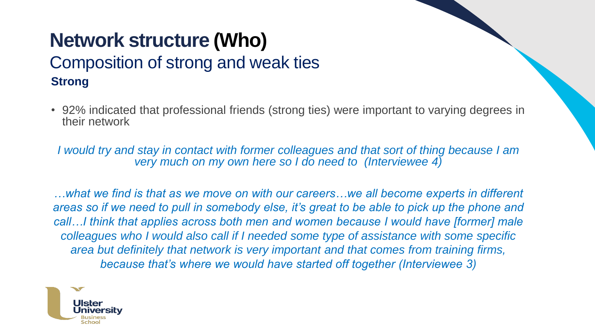#### **Network structure (Who)**  Composition of strong and weak ties **Strong**

• 92% indicated that professional friends (strong ties) were important to varying degrees in their network

*I would try and stay in contact with former colleagues and that sort of thing because I am very much on my own here so I do need to (Interviewee 4)*

*…what we find is that as we move on with our careers…we all become experts in different areas so if we need to pull in somebody else, it's great to be able to pick up the phone and call…I think that applies across both men and women because I would have [former] male colleagues who I would also call if I needed some type of assistance with some specific area but definitely that network is very important and that comes from training firms, because that's where we would have started off together (Interviewee 3)* 

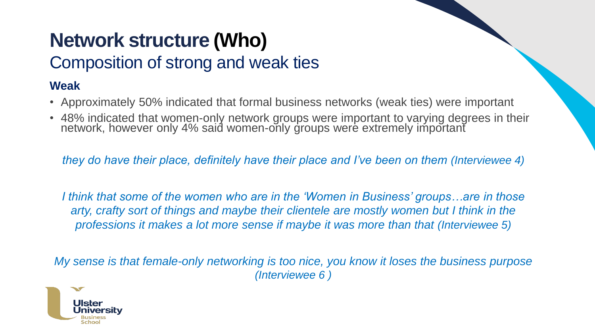# **Network structure (Who)**

### Composition of strong and weak ties

#### **Weak**

- Approximately 50% indicated that formal business networks (weak ties) were important
- 48% indicated that women-only network groups were important to varying degrees in their network, however only 4% said women-only groups were extremely important

*they do have their place, definitely have their place and I've been on them (Interviewee 4)*

*I think that some of the women who are in the 'Women in Business' groups…are in those arty, crafty sort of things and maybe their clientele are mostly women but I think in the professions it makes a lot more sense if maybe it was more than that (Interviewee 5)*

*My sense is that female-only networking is too nice, you know it loses the business purpose (Interviewee 6 )*

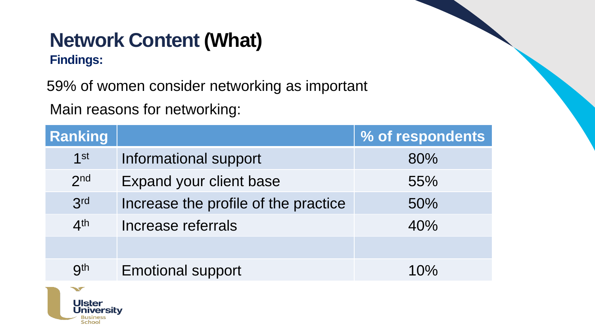# **Network Content (What)**

#### **Findings:**

59% of women consider networking as important

Main reasons for networking:

| <b>Ranking</b>  |                                      | % of respondents |
|-----------------|--------------------------------------|------------------|
| $1$ st          | Informational support                | 80%              |
| 2 <sub>nd</sub> | Expand your client base              | 55%              |
| 3rd             | Increase the profile of the practice | 50%              |
| 4 <sup>th</sup> | Increase referrals                   | 40%              |
|                 |                                      |                  |
| <b>gth</b>      | <b>Emotional support</b>             | 10%              |

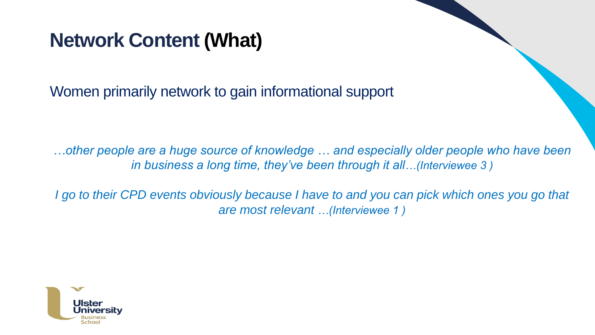## **Network Content (What)**

Women primarily network to gain informational support

*…other people are a huge source of knowledge … and especially older people who have been in business a long time, they've been through it all…(Interviewee 3 )*

*I go to their CPD events obviously because I have to and you can pick which ones you go that are most relevant …(Interviewee 1 )*

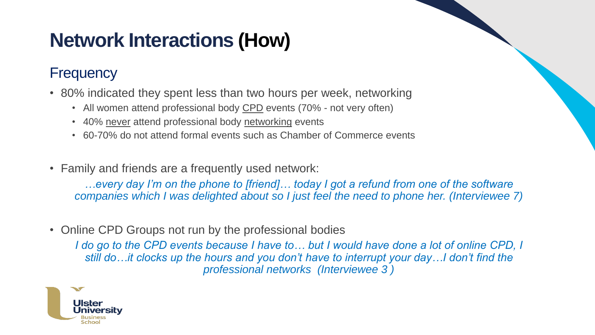# **Network Interactions (How)**

#### **Frequency**

- 80% indicated they spent less than two hours per week, networking
	- All women attend professional body CPD events (70% not very often)
	- 40% never attend professional body networking events
	- 60-70% do not attend formal events such as Chamber of Commerce events
- Family and friends are a frequently used network:

*…every day I'm on the phone to [friend]… today I got a refund from one of the software companies which I was delighted about so I just feel the need to phone her. (Interviewee 7)*

• Online CPD Groups not run by the professional bodies

*I do go to the CPD events because I have to… but I would have done a lot of online CPD, I still do…it clocks up the hours and you don't have to interrupt your day…I don't find the professional networks (Interviewee 3 )*

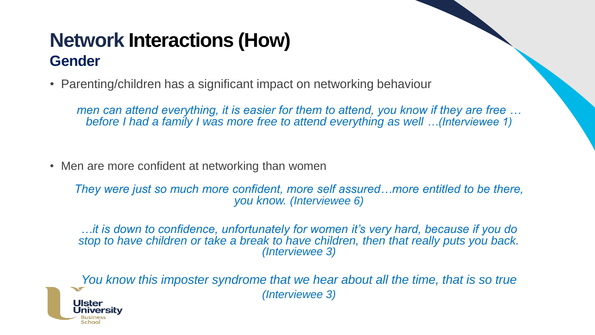### **Network Interactions (How) Gender**

• Parenting/children has a significant impact on networking behaviour

*men can attend everything, it is easier for them to attend, you know if they are free … before I had a family I was more free to attend everything as well …(Interviewee 1)*

• Men are more confident at networking than women

Jniversitv

*They were just so much more confident, more self assured…more entitled to be there, you know. (Interviewee 6)* 

*…it is down to confidence, unfortunately for women it's very hard, because if you do stop to have children or take a break to have children, then that really puts you back. (Interviewee 3)*

*You know this imposter syndrome that we hear about all the time, that is so true (Interviewee 3)*l llstei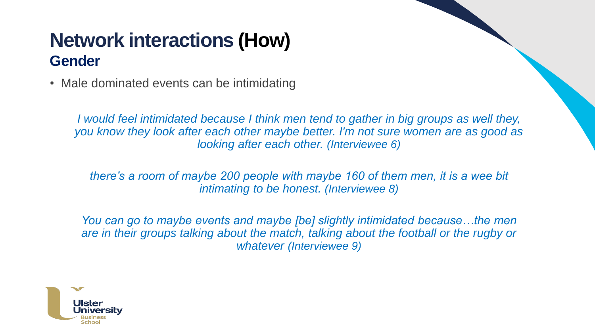## **Network interactions (How) Gender**

• Male dominated events can be intimidating

*I would feel intimidated because I think men tend to gather in big groups as well they, you know they look after each other maybe better. I'm not sure women are as good as looking after each other. (Interviewee 6)*

*there's a room of maybe 200 people with maybe 160 of them men, it is a wee bit intimating to be honest. (Interviewee 8)*

*You can go to maybe events and maybe [be] slightly intimidated because...the men* are in their groups talking about the match, talking about the football or the rugby or *whatever (Interviewee 9)*

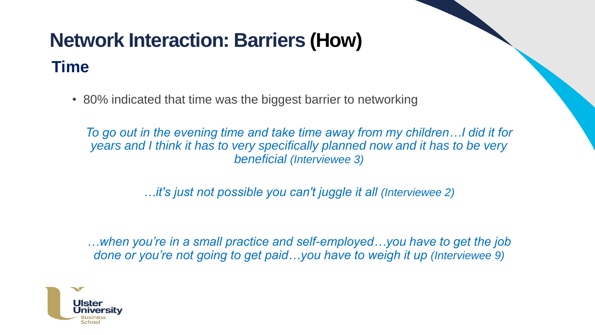## **Network Interaction: Barriers (How) Time**

• 80% indicated that time was the biggest barrier to networking

*To go out in the evening time and take time away from my children…I did it for years and I think it has to very specifically planned now and it has to be very beneficial (Interviewee 3)*

*…it's just not possible you can't juggle it all (Interviewee 2)*

*…when you're in a small practice and self-employed…you have to get the job done or you're not going to get paid…you have to weigh it up (Interviewee 9)*

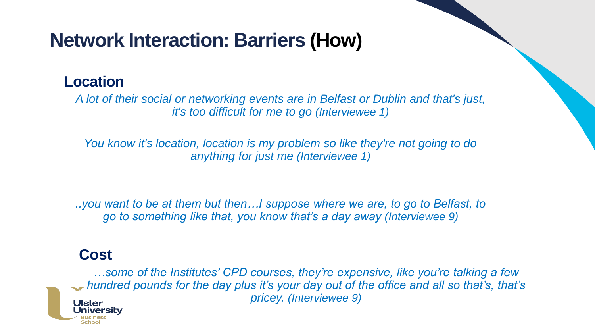## **Network Interaction: Barriers (How)**

#### **Location**

*A lot of their social or networking events are in Belfast or Dublin and that's just, it's too difficult for me to go (Interviewee 1)*

*You know it's location, location is my problem so like they're not going to do anything for just me (Interviewee 1)*

*..you want to be at them but then…I suppose where we are, to go to Belfast, to go to something like that, you know that's a day away (Interviewee 9)*

#### **Cost**

niversitv

*…some of the Institutes' CPD courses, they're expensive, like you're talking a few hundred pounds for the day plus it's your day out of the office and all so that's, that's pricey. (Interviewee 9)*l llster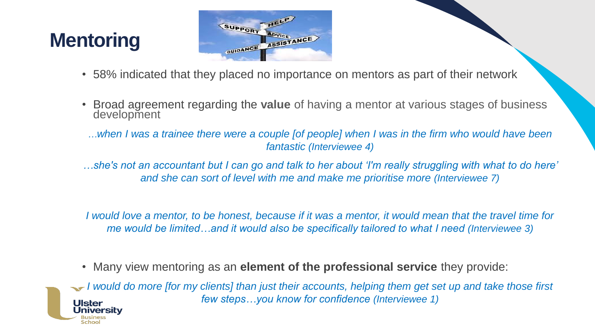# **Mentoring**



- 58% indicated that they placed no importance on mentors as part of their network
- Broad agreement regarding the **value** of having a mentor at various stages of business development
- *…when I was a trainee there were a couple [of people] when I was in the firm who would have been fantastic (Interviewee 4)*
- *…she's not an accountant but I can go and talk to her about 'I'm really struggling with what to do here' and she can sort of level with me and make me prioritise more (Interviewee 7)*

*I would love a mentor, to be honest, because if it was a mentor, it would mean that the travel time for me would be limited…and it would also be specifically tailored to what I need (Interviewee 3)*

• Many view mentoring as an **element of the professional service** they provide:

*I* would do more [for my clients] than just their accounts, helping them get set up and take those first *few steps…you know for confidence (Interviewee 1)*Ulster Universitv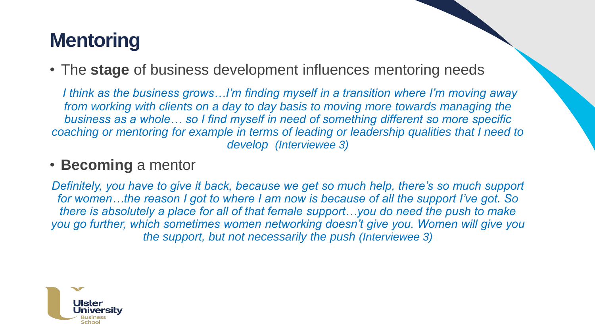# **Mentoring**

• The **stage** of business development influences mentoring needs

*I think as the business grows…I'm finding myself in a transition where I'm moving away from working with clients on a day to day basis to moving more towards managing the business as a whole… so I find myself in need of something different so more specific coaching or mentoring for example in terms of leading or leadership qualities that I need to develop (Interviewee 3)*

#### • **Becoming** a mentor

*Definitely, you have to give it back, because we get so much help, there's so much support for women…the reason I got to where I am now is because of all the support I've got. So there is absolutely a place for all of that female support…you do need the push to make you go further, which sometimes women networking doesn't give you. Women will give you the support, but not necessarily the push (Interviewee 3)*

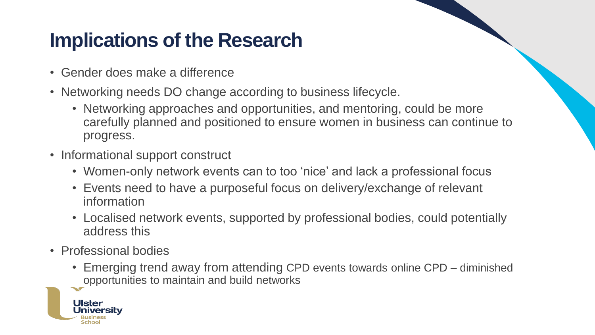## **Implications of the Research**

- Gender does make a difference
- Networking needs DO change according to business lifecycle.
	- Networking approaches and opportunities, and mentoring, could be more carefully planned and positioned to ensure women in business can continue to progress.
- Informational support construct
	- Women-only network events can to too 'nice' and lack a professional focus
	- Events need to have a purposeful focus on delivery/exchange of relevant information
	- Localised network events, supported by professional bodies, could potentially address this
- Professional bodies
	- Emerging trend away from attending CPD events towards online CPD diminished opportunities to maintain and build networks

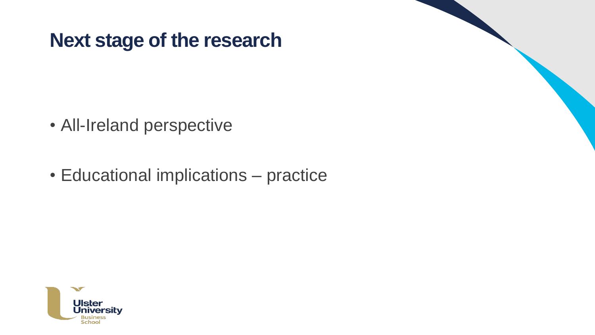## **Next stage of the research**

- All-Ireland perspective
- Educational implications practice